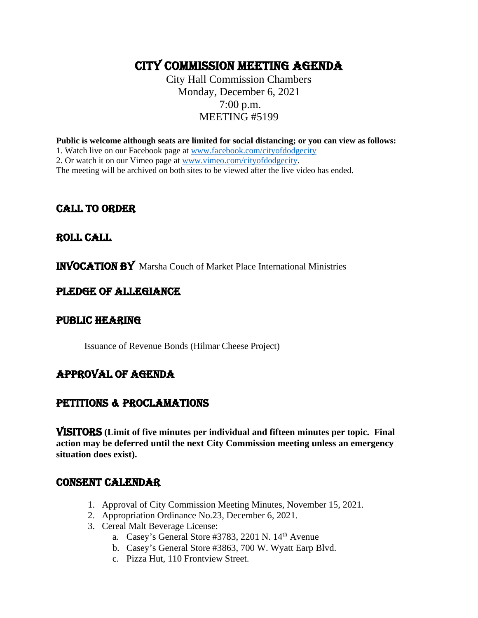## CITY COMMISSION MEETING AGENDA

City Hall Commission Chambers Monday, December 6, 2021 7:00 p.m. MEETING #5199

**Public is welcome although seats are limited for social distancing; or you can view as follows:**

1. Watch live on our Facebook page at [www.facebook.com/cityofdodgecity](http://www.facebook.com/cityofdodgecity)

2. Or watch it on our Vimeo page at [www.vimeo.com/cityofdodgecity.](http://www.vimeo.com/cityofdodgecity)

The meeting will be archived on both sites to be viewed after the live video has ended.

## CALL TO ORDER

## ROLL CALL

INVOCATION BY Marsha Couch of Market Place International Ministries

## PLEDGE OF ALLEGIANCE

### PUBLIC HEARING

Issuance of Revenue Bonds (Hilmar Cheese Project)

## APPROVAL OF AGENDA

## PETITIONS & PROCLAMATIONS

VISITORS **(Limit of five minutes per individual and fifteen minutes per topic. Final action may be deferred until the next City Commission meeting unless an emergency situation does exist).**

## CONSENT CALENDAR

- 1. Approval of City Commission Meeting Minutes, November 15, 2021.
- 2. Appropriation Ordinance No.23, December 6, 2021.
- 3. Cereal Malt Beverage License:
	- a. Casey's General Store #3783, 2201 N. 14<sup>th</sup> Avenue
	- b. Casey's General Store #3863, 700 W. Wyatt Earp Blvd.
	- c. Pizza Hut, 110 Frontview Street.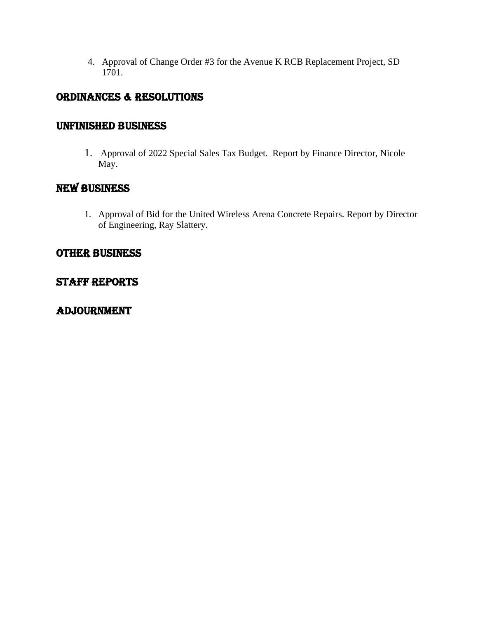4. Approval of Change Order #3 for the Avenue K RCB Replacement Project, SD 1701.

## ORDINANCES & RESOLUTIONS

## UNFINISHED BUSINESS

1. Approval of 2022 Special Sales Tax Budget. Report by Finance Director, Nicole May.

## NEW BUSINESS

1. Approval of Bid for the United Wireless Arena Concrete Repairs. Report by Director of Engineering, Ray Slattery.

## OTHER BUSINESS

## Staff reports

## ADJOURNMENT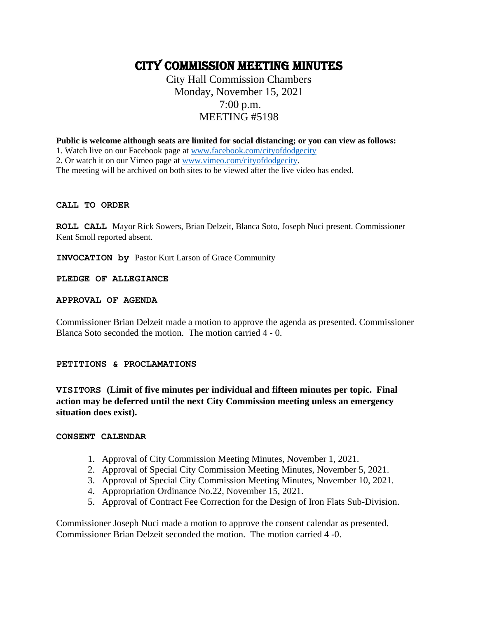## CITY COMMISSION MEETING minutes

City Hall Commission Chambers Monday, November 15, 2021 7:00 p.m. MEETING #5198

**Public is welcome although seats are limited for social distancing; or you can view as follows:**

1. Watch live on our Facebook page at [www.facebook.com/cityofdodgecity](http://www.facebook.com/cityofdodgecity)

2. Or watch it on our Vimeo page at [www.vimeo.com/cityofdodgecity.](http://www.vimeo.com/cityofdodgecity)

The meeting will be archived on both sites to be viewed after the live video has ended.

#### **CALL TO ORDER**

**ROLL CALL** Mayor Rick Sowers, Brian Delzeit, Blanca Soto, Joseph Nuci present. Commissioner Kent Smoll reported absent.

**INVOCATION by** Pastor Kurt Larson of Grace Community

#### **PLEDGE OF ALLEGIANCE**

#### **APPROVAL OF AGENDA**

Commissioner Brian Delzeit made a motion to approve the agenda as presented. Commissioner Blanca Soto seconded the motion. The motion carried 4 - 0.

#### **PETITIONS & PROCLAMATIONS**

**VISITORS (Limit of five minutes per individual and fifteen minutes per topic. Final action may be deferred until the next City Commission meeting unless an emergency situation does exist).**

#### **CONSENT CALENDAR**

- 1. Approval of City Commission Meeting Minutes, November 1, 2021.
- 2. Approval of Special City Commission Meeting Minutes, November 5, 2021.
- 3. Approval of Special City Commission Meeting Minutes, November 10, 2021.
- 4. Appropriation Ordinance No.22, November 15, 2021.
- 5. Approval of Contract Fee Correction for the Design of Iron Flats Sub-Division.

Commissioner Joseph Nuci made a motion to approve the consent calendar as presented. Commissioner Brian Delzeit seconded the motion. The motion carried 4 -0.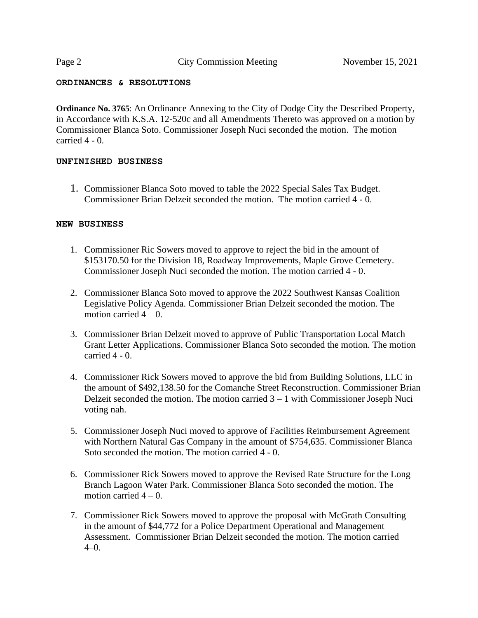#### **ORDINANCES & RESOLUTIONS**

**Ordinance No. 3765**: An Ordinance Annexing to the City of Dodge City the Described Property, in Accordance with K.S.A. 12-520c and all Amendments Thereto was approved on a motion by Commissioner Blanca Soto. Commissioner Joseph Nuci seconded the motion. The motion carried 4 - 0.

#### **UNFINISHED BUSINESS**

1. Commissioner Blanca Soto moved to table the 2022 Special Sales Tax Budget. Commissioner Brian Delzeit seconded the motion. The motion carried 4 - 0.

#### **NEW BUSINESS**

- 1. Commissioner Ric Sowers moved to approve to reject the bid in the amount of \$153170.50 for the Division 18, Roadway Improvements, Maple Grove Cemetery. Commissioner Joseph Nuci seconded the motion. The motion carried 4 - 0.
- 2. Commissioner Blanca Soto moved to approve the 2022 Southwest Kansas Coalition Legislative Policy Agenda. Commissioner Brian Delzeit seconded the motion. The motion carried  $4 - 0$ .
- 3. Commissioner Brian Delzeit moved to approve of Public Transportation Local Match Grant Letter Applications. Commissioner Blanca Soto seconded the motion. The motion carried 4 - 0.
- 4. Commissioner Rick Sowers moved to approve the bid from Building Solutions, LLC in the amount of \$492,138.50 for the Comanche Street Reconstruction. Commissioner Brian Delzeit seconded the motion. The motion carried  $3 - 1$  with Commissioner Joseph Nuci voting nah.
- 5. Commissioner Joseph Nuci moved to approve of Facilities Reimbursement Agreement with Northern Natural Gas Company in the amount of \$754,635. Commissioner Blanca Soto seconded the motion. The motion carried 4 - 0.
- 6. Commissioner Rick Sowers moved to approve the Revised Rate Structure for the Long Branch Lagoon Water Park. Commissioner Blanca Soto seconded the motion. The motion carried  $4 - 0$ .
- 7. Commissioner Rick Sowers moved to approve the proposal with McGrath Consulting in the amount of \$44,772 for a Police Department Operational and Management Assessment. Commissioner Brian Delzeit seconded the motion. The motion carried  $4-0.$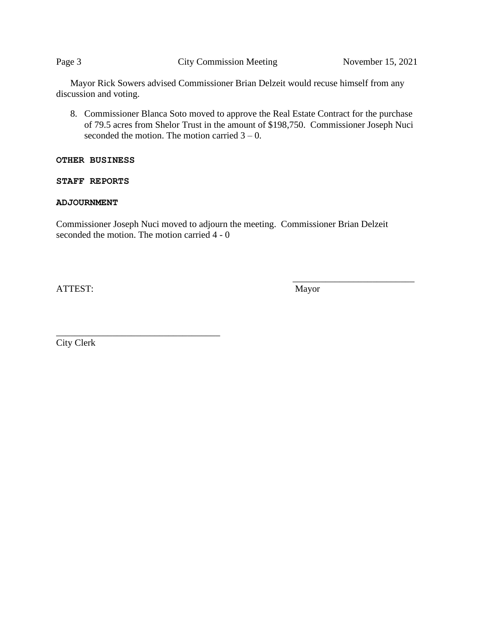Page 3 City Commission Meeting November 15, 2021

Mayor Rick Sowers advised Commissioner Brian Delzeit would recuse himself from any discussion and voting.

8. Commissioner Blanca Soto moved to approve the Real Estate Contract for the purchase of 79.5 acres from Shelor Trust in the amount of \$198,750. Commissioner Joseph Nuci seconded the motion. The motion carried  $3 - 0$ .

#### **OTHER BUSINESS**

**STAFF REPORTS**

#### **ADJOURNMENT**

Commissioner Joseph Nuci moved to adjourn the meeting. Commissioner Brian Delzeit seconded the motion. The motion carried 4 - 0

ATTEST: Mayor

 $\frac{1}{\sqrt{2}}$  ,  $\frac{1}{\sqrt{2}}$  ,  $\frac{1}{\sqrt{2}}$  ,  $\frac{1}{\sqrt{2}}$  ,  $\frac{1}{\sqrt{2}}$  ,  $\frac{1}{\sqrt{2}}$  ,  $\frac{1}{\sqrt{2}}$  ,  $\frac{1}{\sqrt{2}}$  ,  $\frac{1}{\sqrt{2}}$  ,  $\frac{1}{\sqrt{2}}$  ,  $\frac{1}{\sqrt{2}}$  ,  $\frac{1}{\sqrt{2}}$  ,  $\frac{1}{\sqrt{2}}$  ,  $\frac{1}{\sqrt{2}}$  ,  $\frac{1}{\sqrt{2}}$ 

City Clerk

\_\_\_\_\_\_\_\_\_\_\_\_\_\_\_\_\_\_\_\_\_\_\_\_\_\_\_\_\_\_\_\_\_\_\_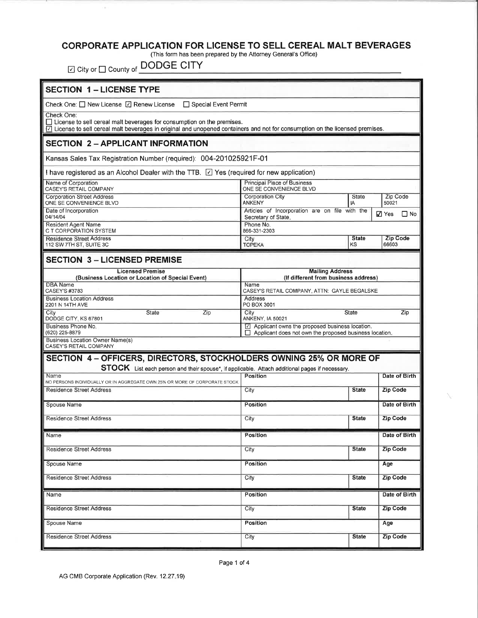# CORPORATE APPLICATION FOR LICENSE TO SELL CEREAL MALT BEVERAGES (This form has been prepared by the Attorney General's Office)

⊡ City or  $\square$  County of **DODGE CITY** 

| <b>SECTION 1 - LICENSE TYPE</b>                                                                                                                                                                                                      |                                                                                                                              |                    |                           |  |  |  |  |
|--------------------------------------------------------------------------------------------------------------------------------------------------------------------------------------------------------------------------------------|------------------------------------------------------------------------------------------------------------------------------|--------------------|---------------------------|--|--|--|--|
| Check One: □ New License □ Renew License<br>□ Special Event Permit                                                                                                                                                                   |                                                                                                                              |                    |                           |  |  |  |  |
| Check One:<br>$\Box$ License to sell cereal malt beverages for consumption on the premises.<br>$\boxdot$ License to sell cereal malt beverages in original and unopened containers and not for consumption on the licensed premises. |                                                                                                                              |                    |                           |  |  |  |  |
| <b>SECTION 2 - APPLICANT INFORMATION</b>                                                                                                                                                                                             |                                                                                                                              |                    |                           |  |  |  |  |
| Kansas Sales Tax Registration Number (required): 004-201025921F-01                                                                                                                                                                   |                                                                                                                              |                    |                           |  |  |  |  |
| I have registered as an Alcohol Dealer with the TTB. $\Box$ Yes (required for new application)                                                                                                                                       |                                                                                                                              |                    |                           |  |  |  |  |
| Name of Corporation<br>CASEY'S RETAIL COMPANY                                                                                                                                                                                        | Principal Place of Business<br>ONE SE CONVENIENCE BLVD                                                                       |                    |                           |  |  |  |  |
| <b>Corporation Street Address</b><br>ONE SE CONVENIENCE BLVD                                                                                                                                                                         | Corporation City<br><b>ANKENY</b>                                                                                            | State<br>IA        | Zip Code<br>50021         |  |  |  |  |
| Date of Incorporation<br>04/14/04                                                                                                                                                                                                    | Articles of Incorporation are on file with the<br>Secretary of State                                                         |                    | $\Box$ No<br>$\nabla$ Yes |  |  |  |  |
| <b>Resident Agent Name</b><br>C T CORPORATION SYSTEM                                                                                                                                                                                 | Phone No.<br>866-331-2303                                                                                                    |                    |                           |  |  |  |  |
| <b>Residence Street Address</b><br>112 SW 7TH ST, SUITE 3C                                                                                                                                                                           | City<br><b>TOPEKA</b>                                                                                                        | <b>State</b><br>KS | <b>Zip Code</b><br>66603  |  |  |  |  |
| <b>SECTION 3 - LICENSED PREMISE</b>                                                                                                                                                                                                  |                                                                                                                              |                    |                           |  |  |  |  |
| <b>Licensed Premise</b>                                                                                                                                                                                                              | <b>Mailing Address</b>                                                                                                       |                    |                           |  |  |  |  |
| (Business Location or Location of Special Event)<br><b>DBA Name</b><br>CASEY'S #3783                                                                                                                                                 | (If different from business address)<br>Name<br>CASEY'S RETAIL COMPANY, ATTN: GAYLE BEGALSKE                                 |                    |                           |  |  |  |  |
| <b>Business Location Address</b><br>2201 N 14TH AVE                                                                                                                                                                                  | Address<br>PO BOX 3001                                                                                                       |                    |                           |  |  |  |  |
| City<br>State<br>Zip<br>DODGE CITY, KS 67801                                                                                                                                                                                         | City<br>State<br><b>ANKENY, IA 50021</b>                                                                                     | Zip                |                           |  |  |  |  |
| Business Phone No.<br>(620) 225-8879                                                                                                                                                                                                 | $\boxed{\triangle}$ Applicant owns the proposed business location.<br>Applicant does not own the proposed business location. |                    |                           |  |  |  |  |
| Business Location Owner Name(s)<br><b>CASEY'S RETAIL COMPANY</b>                                                                                                                                                                     |                                                                                                                              |                    |                           |  |  |  |  |
| SECTION 4 - OFFICERS, DIRECTORS, STOCKHOLDERS OWNING 25% OR MORE OF                                                                                                                                                                  |                                                                                                                              |                    |                           |  |  |  |  |
| STOCK List each person and their spouse*, if applicable. Attach additional pages if necessary.<br>Name                                                                                                                               | Position                                                                                                                     |                    | Date of Birth             |  |  |  |  |
| NO PERSONS INDIVIDUALLY OR IN AGGREGATE OWN 25% OR MORE OF CORPORATE STOCK<br><b>Residence Street Address</b>                                                                                                                        | City<br><b>State</b>                                                                                                         |                    | <b>Zip Code</b>           |  |  |  |  |
|                                                                                                                                                                                                                                      |                                                                                                                              |                    |                           |  |  |  |  |
| Spouse Name                                                                                                                                                                                                                          | Position                                                                                                                     |                    | Date of Birth             |  |  |  |  |
| <b>Residence Street Address</b>                                                                                                                                                                                                      | City<br><b>State</b>                                                                                                         |                    | <b>Zip Code</b>           |  |  |  |  |
| Name                                                                                                                                                                                                                                 | Position                                                                                                                     |                    | Date of Birth             |  |  |  |  |
| <b>Residence Street Address</b>                                                                                                                                                                                                      | City<br><b>State</b>                                                                                                         |                    | <b>Zip Code</b>           |  |  |  |  |
| Spouse Name                                                                                                                                                                                                                          | <b>Position</b>                                                                                                              | Age                |                           |  |  |  |  |
| <b>Residence Street Address</b>                                                                                                                                                                                                      | City                                                                                                                         | <b>Zip Code</b>    |                           |  |  |  |  |
| Name                                                                                                                                                                                                                                 | Position                                                                                                                     | Date of Birth      |                           |  |  |  |  |
| <b>Residence Street Address</b>                                                                                                                                                                                                      | City                                                                                                                         | <b>State</b>       | <b>Zip Code</b>           |  |  |  |  |
| Spouse Name                                                                                                                                                                                                                          | <b>Position</b>                                                                                                              | Age                |                           |  |  |  |  |
| <b>Residence Street Address</b>                                                                                                                                                                                                      | City                                                                                                                         | <b>State</b>       | Zip Code                  |  |  |  |  |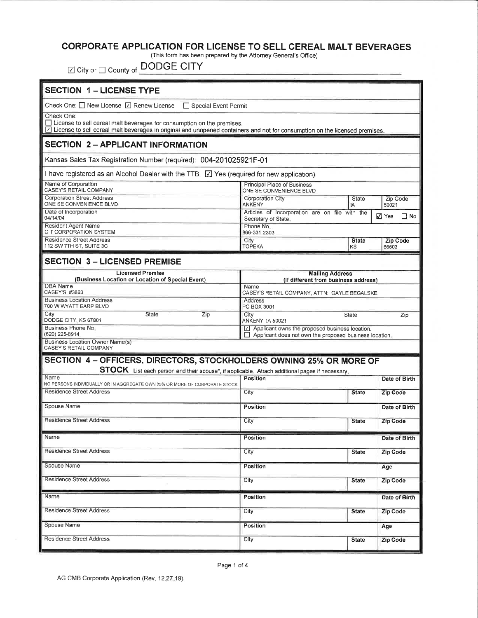#### CORPORATE APPLICATION FOR LICENSE TO SELL CEREAL MALT BEVERAGES

(This form has been prepared by the Attorney General's Office)

☑ City or □ County of DODGE CITY

| <b>SECTION 1 - LICENSE TYPE</b>                                                                                                                                                                                                |                                                                                                                                     |                    |                           |  |  |
|--------------------------------------------------------------------------------------------------------------------------------------------------------------------------------------------------------------------------------|-------------------------------------------------------------------------------------------------------------------------------------|--------------------|---------------------------|--|--|
| Check One: $\Box$ New License $\Box$ Renew License<br>□ Special Event Permit                                                                                                                                                   |                                                                                                                                     |                    |                           |  |  |
| Check One:<br>$\Box$ License to sell cereal malt beverages for consumption on the premises.<br>[2] License to sell cereal malt beverages in original and unopened containers and not for consumption on the licensed premises. |                                                                                                                                     |                    |                           |  |  |
| <b>SECTION 2 - APPLICANT INFORMATION</b>                                                                                                                                                                                       |                                                                                                                                     |                    |                           |  |  |
| Kansas Sales Tax Registration Number (required): 004-201025921F-01                                                                                                                                                             |                                                                                                                                     |                    |                           |  |  |
| I have registered as an Alcohol Dealer with the TTB. [2] Yes (required for new application)                                                                                                                                    |                                                                                                                                     |                    |                           |  |  |
| Name of Corporation<br>CASEY'S RETAIL COMPANY                                                                                                                                                                                  | <b>Principal Place of Business</b><br>ONE SE CONVENIENCE BLVD                                                                       |                    |                           |  |  |
| <b>Corporation Street Address</b><br>ONE SE CONVENIENCE BLVD                                                                                                                                                                   | Corporation City<br>State<br><b>Zip Code</b><br><b>ANKENY</b><br>1A<br>50021                                                        |                    |                           |  |  |
| Date of Incorporation<br>04/14/04                                                                                                                                                                                              | Articles of Incorporation are on file with the<br>Secretary of State.                                                               |                    | $\Box$ No<br>$\nabla$ Yes |  |  |
| Resident Agent Name<br>C T CORPORATION SYSTEM                                                                                                                                                                                  | Phone No.<br>866-331-2303                                                                                                           |                    |                           |  |  |
| <b>Residence Street Address</b><br>112 SW 7TH ST, SUITE 3C                                                                                                                                                                     | City<br><b>TOPEKA</b>                                                                                                               | <b>State</b><br>ΚS | Zip Code<br>66603         |  |  |
| <b>SECTION 3 - LICENSED PREMISE</b>                                                                                                                                                                                            |                                                                                                                                     |                    |                           |  |  |
| <b>Licensed Premise</b><br><b>Mailing Address</b>                                                                                                                                                                              |                                                                                                                                     |                    |                           |  |  |
| (Business Location or Location of Special Event)<br>DBA Name<br>CASEY'S #3863                                                                                                                                                  | (If different from business address)<br>Name                                                                                        |                    |                           |  |  |
| <b>Business Location Address</b><br>700 W WYATT EARP BLVD                                                                                                                                                                      | CASEY'S RETAIL COMPANY, ATTN: GAYLE BEGALSKE<br>Address                                                                             |                    |                           |  |  |
| City<br>State<br>Zip<br>DODGE CITY, KS 67801                                                                                                                                                                                   | PO BOX 3001<br>City                                                                                                                 | <b>State</b>       | Zip                       |  |  |
| Business Phone No.<br>(620) 225-8914                                                                                                                                                                                           | ANKENY, IA 50021<br>$\Box$ Applicant owns the proposed business location.<br>Applicant does not own the proposed business location. |                    |                           |  |  |
| Business Location Owner Name(s)<br>CASEY'S RETAIL COMPANY                                                                                                                                                                      | L.L                                                                                                                                 |                    |                           |  |  |
| SECTION 4 - OFFICERS, DIRECTORS, STOCKHOLDERS OWNING 25% OR MORE OF                                                                                                                                                            |                                                                                                                                     |                    |                           |  |  |
| STOCK List each person and their spouse*, if applicable. Attach additional pages if necessary,                                                                                                                                 |                                                                                                                                     |                    |                           |  |  |
| Name<br>NO PERSONS INDIVIDUALLY OR IN AGGREGATE OWN 25% OR MORE OF CORPORATE STOCK                                                                                                                                             | Position                                                                                                                            |                    | Date of Birth             |  |  |
| Residence Street Address                                                                                                                                                                                                       | City                                                                                                                                | <b>State</b>       | <b>Zip Code</b>           |  |  |
| Spouse Name                                                                                                                                                                                                                    | Position                                                                                                                            |                    | Date of Birth             |  |  |
| <b>Residence Street Address</b>                                                                                                                                                                                                | City                                                                                                                                | <b>State</b>       | <b>Zip Code</b>           |  |  |
| Name                                                                                                                                                                                                                           | Position                                                                                                                            |                    | Date of Birth             |  |  |
| <b>Residence Street Address</b>                                                                                                                                                                                                | City                                                                                                                                | <b>State</b>       | <b>Zip Code</b>           |  |  |
| Spouse Name                                                                                                                                                                                                                    | <b>Position</b>                                                                                                                     |                    | Age                       |  |  |
| Residence Street Address                                                                                                                                                                                                       | City                                                                                                                                | <b>State</b>       | Zip Code                  |  |  |
| Name                                                                                                                                                                                                                           | <b>Position</b>                                                                                                                     |                    | Date of Birth             |  |  |
| Residence Street Address                                                                                                                                                                                                       | City                                                                                                                                | <b>State</b>       | Zip Code                  |  |  |
| Spouse Name                                                                                                                                                                                                                    | Position                                                                                                                            |                    | Age                       |  |  |
| <b>Residence Street Address</b>                                                                                                                                                                                                | City                                                                                                                                | <b>State</b>       | Zip Code                  |  |  |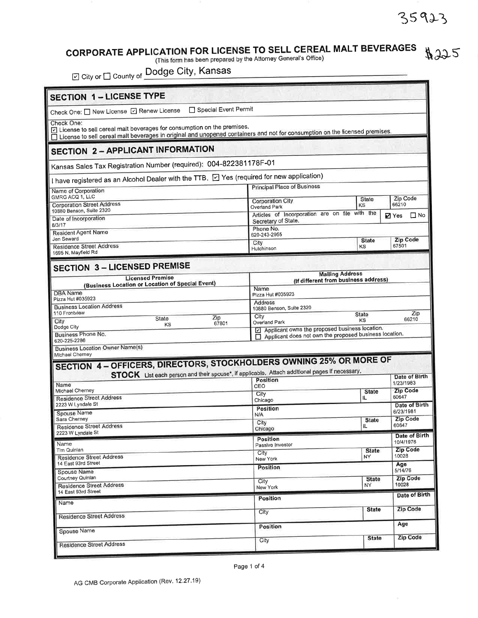## CORPORATE APPLICATION FOR LICENSE TO SELL CEREAL MALT BEVERAGES<br>(This form has been prepared by the Attorney General's Office)  $#225$

2 City or □ County of Dodge City, Kansas

| Special Event Permit<br>Check One: O New License [7] Renew License                                                                                                                                                    |                                                                                                                           |                    |                                |  |  |
|-----------------------------------------------------------------------------------------------------------------------------------------------------------------------------------------------------------------------|---------------------------------------------------------------------------------------------------------------------------|--------------------|--------------------------------|--|--|
| Check One:<br>License to sell cereal malt beverages for consumption on the premises.<br>□ License to sell cereal malt beverages in original and unopened containers and not for consumption on the licensed premises. |                                                                                                                           |                    |                                |  |  |
| <b>SECTION 2 - APPLICANT INFORMATION</b>                                                                                                                                                                              |                                                                                                                           |                    |                                |  |  |
| Kansas Sales Tax Registration Number (required): 004-822381178F-01                                                                                                                                                    |                                                                                                                           |                    |                                |  |  |
| I have registered as an Alcohol Dealer with the TTB. $\boxdot$ Yes (required for new application)                                                                                                                     | <b>Principal Place of Business</b>                                                                                        |                    |                                |  |  |
| Name of Corporation<br>GMRG ACQ 1, LLC                                                                                                                                                                                |                                                                                                                           |                    | Zip Code                       |  |  |
| <b>Corporation Street Address</b><br>10880 Benson, Suite 2320                                                                                                                                                         | <b>Corporation City</b><br>Overland Park                                                                                  | State<br>KS        | 66210                          |  |  |
| Date of Incorporation                                                                                                                                                                                                 | Articles of Incorporation are on file with the<br>$\square$ No<br><b>Ø</b> Yes<br>Secretary of State.                     |                    |                                |  |  |
| 8/3/17<br><b>Resident Agent Name</b>                                                                                                                                                                                  | Phone No.<br>620-243-2955                                                                                                 |                    |                                |  |  |
| Jen Seward<br><b>Residence Street Address</b>                                                                                                                                                                         | City<br>Hutchinson                                                                                                        | <b>State</b><br>KS | Zip Code<br>67501              |  |  |
| 1695 N. Mayfield Rd                                                                                                                                                                                                   |                                                                                                                           |                    |                                |  |  |
| <b>SECTION 3-LICENSED PREMISE</b>                                                                                                                                                                                     |                                                                                                                           |                    |                                |  |  |
| <b>Licensed Premise</b><br>(Business Location or Location of Special Event)                                                                                                                                           | <b>Mailing Address</b><br>(If different from business address)                                                            |                    |                                |  |  |
| DBA Name                                                                                                                                                                                                              | Name<br>Pizza Hut #035923                                                                                                 |                    |                                |  |  |
| Pizza Hut #035923<br><b>Business Location Address</b>                                                                                                                                                                 | <b>Address</b><br>10880 Benson, Suite 2320                                                                                |                    |                                |  |  |
| 110 Frontview<br>Zip<br>State<br>City                                                                                                                                                                                 | City                                                                                                                      | State<br>KS        | Zip<br>66210                   |  |  |
| 67801<br>ΚS<br>Dodge City<br>Business Phone No.                                                                                                                                                                       | Overland Park<br>Applicant owns the proposed business location.<br>Applicant does not own the proposed business location. |                    |                                |  |  |
| 620-225-2286                                                                                                                                                                                                          |                                                                                                                           |                    |                                |  |  |
| <b>Business Location Owner Name(s)</b><br>Michael Cherney                                                                                                                                                             |                                                                                                                           |                    |                                |  |  |
| SECTION 4 - OFFICERS, DIRECTORS, STOCKHOLDERS OWNING 25% OR MORE OF                                                                                                                                                   |                                                                                                                           |                    |                                |  |  |
| STOCK List each person and their spouse*, If applicable. Attach additional pages If necessary.                                                                                                                        | Position                                                                                                                  |                    |                                |  |  |
|                                                                                                                                                                                                                       | CEO                                                                                                                       |                    |                                |  |  |
| Name<br>Michael Cherney                                                                                                                                                                                               |                                                                                                                           | <b>State</b>       | 1/23/1983<br><b>Zip Code</b>   |  |  |
| <b>Residence Street Address</b><br>2223 W Lyndale St                                                                                                                                                                  | City<br>Chicago                                                                                                           | IL                 | Date of Birth<br>60647         |  |  |
| Spouse Name                                                                                                                                                                                                           | Position<br>N/A                                                                                                           |                    | 6/23/1981                      |  |  |
| Sara Cherney<br><b>Residence Street Address</b>                                                                                                                                                                       | City<br>Chicago                                                                                                           | <b>State</b><br>IL | <b>Zip Code</b><br>60647       |  |  |
| 2223 W Lyndale St                                                                                                                                                                                                     | Position                                                                                                                  |                    | Date of Birth<br>Date of Birth |  |  |
| Name<br>Tim Quinlan                                                                                                                                                                                                   | Passive Investor<br>City                                                                                                  | <b>State</b>       | 10/4/1976<br><b>Zip Code</b>   |  |  |
| <b>Residence Street Address</b><br>14 East 93rd Street                                                                                                                                                                | New York                                                                                                                  | NY                 | 10028<br>Age                   |  |  |
| Spouse Name<br>Courtney Quinlan                                                                                                                                                                                       | Position                                                                                                                  | <b>State</b>       | 5/14/76<br><b>Zip Code</b>     |  |  |
| <b>Residence Street Address</b>                                                                                                                                                                                       | City<br>New York                                                                                                          | NY.                | 10028                          |  |  |
| 14 East 93rd Street<br>Name                                                                                                                                                                                           | Position                                                                                                                  |                    |                                |  |  |
| <b>Residence Street Address</b>                                                                                                                                                                                       | City                                                                                                                      | <b>State</b>       | Date of Birth<br>Zip Code      |  |  |
| Spouse Name                                                                                                                                                                                                           | Position                                                                                                                  |                    | Age                            |  |  |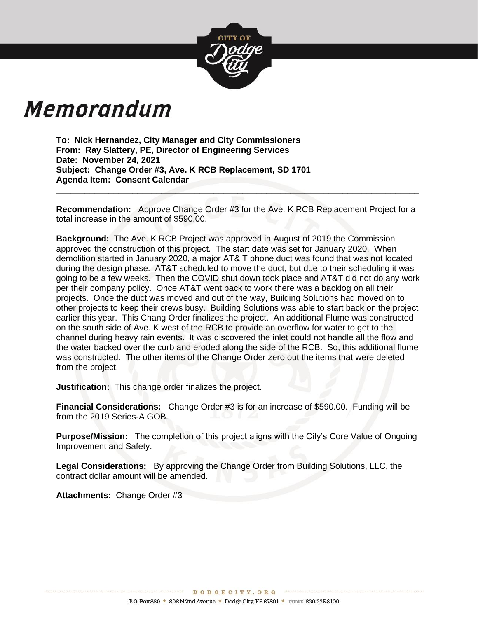

# Memorandum

**To: Nick Hernandez, City Manager and City Commissioners From: Ray Slattery, PE, Director of Engineering Services Date: November 24, 2021 Subject: Change Order #3, Ave. K RCB Replacement, SD 1701 Agenda Item: Consent Calendar**

**Recommendation:** Approve Change Order #3 for the Ave. K RCB Replacement Project for a total increase in the amount of \$590.00.

**\_\_\_\_\_\_\_\_\_\_\_\_\_\_\_\_\_\_\_\_\_\_\_\_\_\_\_\_\_\_\_\_\_\_\_\_\_\_\_\_\_\_\_\_\_\_\_\_\_\_\_\_\_\_\_\_\_\_\_\_\_\_\_\_\_\_\_\_\_\_\_\_\_\_\_\_**

**Background:** The Ave. K RCB Project was approved in August of 2019 the Commission approved the construction of this project. The start date was set for January 2020. When demolition started in January 2020, a major AT& T phone duct was found that was not located during the design phase. AT&T scheduled to move the duct, but due to their scheduling it was going to be a few weeks. Then the COVID shut down took place and AT&T did not do any work per their company policy. Once AT&T went back to work there was a backlog on all their projects. Once the duct was moved and out of the way, Building Solutions had moved on to other projects to keep their crews busy. Building Solutions was able to start back on the project earlier this year. This Chang Order finalizes the project. An additional Flume was constructed on the south side of Ave. K west of the RCB to provide an overflow for water to get to the channel during heavy rain events. It was discovered the inlet could not handle all the flow and the water backed over the curb and eroded along the side of the RCB. So, this additional flume was constructed. The other items of the Change Order zero out the items that were deleted from the project.

**Justification:** This change order finalizes the project.

**Financial Considerations:** Change Order #3 is for an increase of \$590.00. Funding will be from the 2019 Series-A GOB.

**Purpose/Mission:** The completion of this project aligns with the City's Core Value of Ongoing Improvement and Safety.

**Legal Considerations:** By approving the Change Order from Building Solutions, LLC, the contract dollar amount will be amended.

**Attachments:** Change Order #3

\*\*\*\*\*\*\*\*\*\*\*\*\*\*\*\*\*\*\*\*\*\*\*\*\*\*\*

DODGECITY. ORG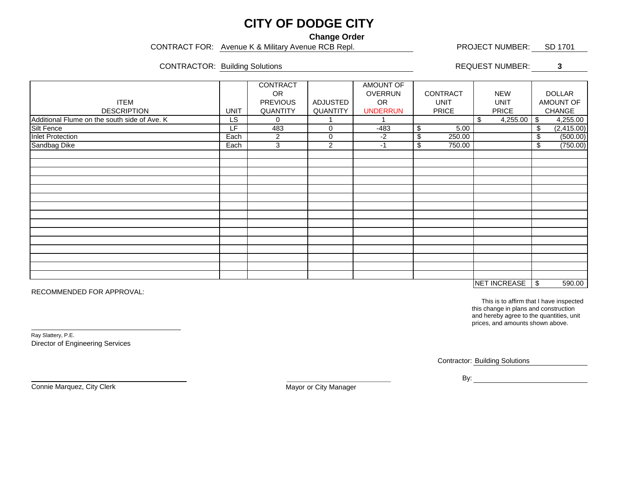## **CITY OF DODGE CITY**

**Change Order**

CONTRACT FOR: Avenue K & Military Avenue RCB Repl. PROJECT NUMBER: SD 1701

CONTRACTOR: Building Solutions **CONTRACTOR: 8** and 2011 11 and 2012 12:30 REQUEST NUMBER:

|                                              |                 | <b>CONTRACT</b> |                 | <b>AMOUNT OF</b> |                 |                |     |               |  |
|----------------------------------------------|-----------------|-----------------|-----------------|------------------|-----------------|----------------|-----|---------------|--|
|                                              |                 | OR.             |                 | <b>OVERRUN</b>   | <b>CONTRACT</b> | <b>NEW</b>     |     | <b>DOLLAR</b> |  |
| <b>ITEM</b>                                  |                 | <b>PREVIOUS</b> | <b>ADJUSTED</b> | OR.              | <b>UNIT</b>     | <b>UNIT</b>    |     | AMOUNT OF     |  |
| <b>DESCRIPTION</b>                           | <b>UNIT</b>     | QUANTITY        | QUANTITY        | <b>UNDERRUN</b>  | <b>PRICE</b>    | <b>PRICE</b>   |     | CHANGE        |  |
| Additional Flume on the south side of Ave. K | $\overline{LS}$ | $\mathbf 0$     |                 |                  |                 | 4,255.00<br>\$ | -\$ | 4,255.00      |  |
| Silt Fence                                   | LF              | 483             | 0               | $-483$           | $\$\$<br>5.00   |                | \$  | (2, 415.00)   |  |
| <b>Inlet Protection</b>                      | Each            | $\overline{c}$  | $\,0\,$         | $-2$             | \$<br>250.00    |                | \$  | (500.00)      |  |
| Sandbag Dike                                 | Each            | 3               | 2               | $-1$             | \$<br>750.00    |                | \$  | (750.00)      |  |
|                                              |                 |                 |                 |                  |                 |                |     |               |  |
|                                              |                 |                 |                 |                  |                 |                |     |               |  |
|                                              |                 |                 |                 |                  |                 |                |     |               |  |
|                                              |                 |                 |                 |                  |                 |                |     |               |  |
|                                              |                 |                 |                 |                  |                 |                |     |               |  |
|                                              |                 |                 |                 |                  |                 |                |     |               |  |
|                                              |                 |                 |                 |                  |                 |                |     |               |  |
|                                              |                 |                 |                 |                  |                 |                |     |               |  |
|                                              |                 |                 |                 |                  |                 |                |     |               |  |
|                                              |                 |                 |                 |                  |                 |                |     |               |  |
|                                              |                 |                 |                 |                  |                 |                |     |               |  |
|                                              |                 |                 |                 |                  |                 |                |     |               |  |
|                                              |                 |                 |                 |                  |                 |                |     |               |  |
|                                              |                 |                 |                 |                  |                 |                |     |               |  |
|                                              |                 |                 |                 |                  |                 |                |     |               |  |
| <b>NET INCREASE</b>                          |                 |                 |                 |                  |                 |                |     | 590.00        |  |

RECOMMENDED FOR APPROVAL:

This is to affirm that I have inspected this change in plans and construction and hereby agree to the quantities, unit prices, and amounts shown above.

Ray Slattery, P.E. Director of Engineering Services

֦

and the contract of the contract of the contract of the contract of the contract of the contract of the contract of the contract of the contract of the contract of the contract of the contract of the contract of the contra

Connie Marquez, City Clerk

Mayor or City Manager

\_\_\_\_\_\_\_\_\_\_\_\_\_\_\_\_\_\_\_\_\_\_\_\_\_\_\_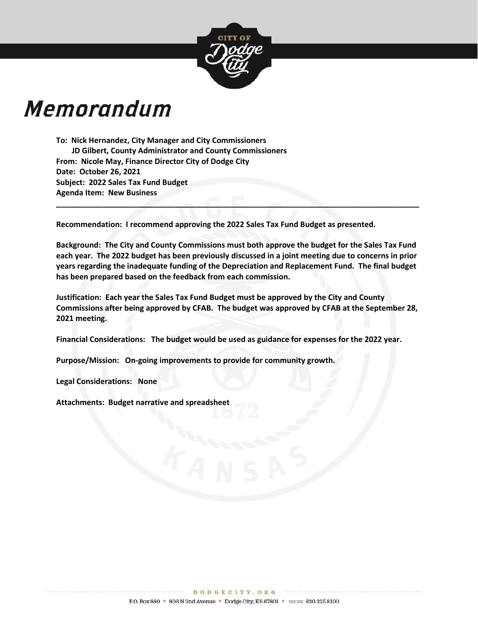

# **Memorandum**

**To: Nick Hernandez, City Manager and City Commissioners JD Gilbert, County Administrator and County Commissioners From: Nicole May, Finance Director City of Dodge City Date: October 26, 2021 Subject: 2022 Sales Tax Fund Budget Agenda Item: New Business**

**Recommendation: I recommend approving the 2022 Sales Tax Fund Budget as presented.**

**Background: The City and County Commissions must both approve the budget for the Sales Tax Fund each year. The 2022 budget has been previously discussed in a joint meeting due to concerns in prior years regarding the inadequate funding of the Depreciation and Replacement Fund. The final budget has been prepared based on the feedback from each commission.** 

**\_\_\_\_\_\_\_\_\_\_\_\_\_\_\_\_\_\_\_\_\_\_\_\_\_\_\_\_\_\_\_\_\_\_\_\_\_\_\_\_\_\_\_\_\_\_\_\_\_\_\_\_\_\_\_\_\_\_\_\_\_\_\_\_\_\_\_\_\_\_\_\_\_\_\_\_\_\_\_\_\_\_\_\_\_**

**Justification: Each year the Sales Tax Fund Budget must be approved by the City and County Commissions after being approved by CFAB. The budget was approved by CFAB at the September 28, 2021 meeting.**

**Financial Considerations: The budget would be used as guidance for expenses for the 2022 year.**

**Purpose/Mission: On-going improvements to provide for community growth.**

**Legal Considerations: None**

**Attachments: Budget narrative and spreadsheet**

\*\*\*\*\*\*\*\*\*\*\*\*\*\*\*\*\*\*\*\*\*\*\*\*\*\*\*\*\*\*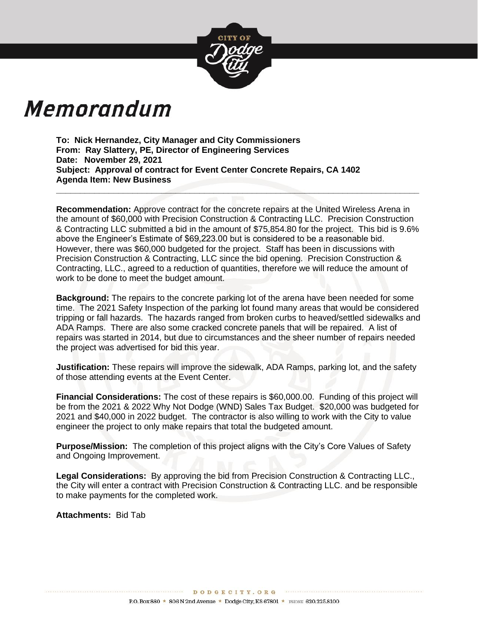

# Memorandum

**To: Nick Hernandez, City Manager and City Commissioners From: Ray Slattery, PE, Director of Engineering Services Date: November 29, 2021 Subject: Approval of contract for Event Center Concrete Repairs, CA 1402 Agenda Item: New Business**

**Recommendation:** Approve contract for the concrete repairs at the United Wireless Arena in the amount of \$60,000 with Precision Construction & Contracting LLC. Precision Construction & Contracting LLC submitted a bid in the amount of \$75,854.80 for the project. This bid is 9.6% above the Engineer's Estimate of \$69,223.00 but is considered to be a reasonable bid. However, there was \$60,000 budgeted for the project. Staff has been in discussions with Precision Construction & Contracting, LLC since the bid opening. Precision Construction & Contracting, LLC., agreed to a reduction of quantities, therefore we will reduce the amount of work to be done to meet the budget amount.

**\_\_\_\_\_\_\_\_\_\_\_\_\_\_\_\_\_\_\_\_\_\_\_\_\_\_\_\_\_\_\_\_\_\_\_\_\_\_\_\_\_\_\_\_\_\_\_\_\_\_\_\_\_\_\_\_\_\_\_\_\_\_\_\_\_\_\_\_\_\_\_\_\_\_\_\_**

**Background:** The repairs to the concrete parking lot of the arena have been needed for some time. The 2021 Safety Inspection of the parking lot found many areas that would be considered tripping or fall hazards. The hazards ranged from broken curbs to heaved/settled sidewalks and ADA Ramps. There are also some cracked concrete panels that will be repaired. A list of repairs was started in 2014, but due to circumstances and the sheer number of repairs needed the project was advertised for bid this year.

**Justification:** These repairs will improve the sidewalk, ADA Ramps, parking lot, and the safety of those attending events at the Event Center.

**Financial Considerations:** The cost of these repairs is \$60,000.00. Funding of this project will be from the 2021 & 2022 Why Not Dodge (WND) Sales Tax Budget. \$20,000 was budgeted for 2021 and \$40,000 in 2022 budget. The contractor is also willing to work with the City to value engineer the project to only make repairs that total the budgeted amount.

**Purpose/Mission:** The completion of this project aligns with the City's Core Values of Safety and Ongoing Improvement.

**Legal Considerations:** By approving the bid from Precision Construction & Contracting LLC., the City will enter a contract with Precision Construction & Contracting LLC. and be responsible to make payments for the completed work.

**Attachments:** Bid Tab

DODGECITY. ORG CONDITIONS